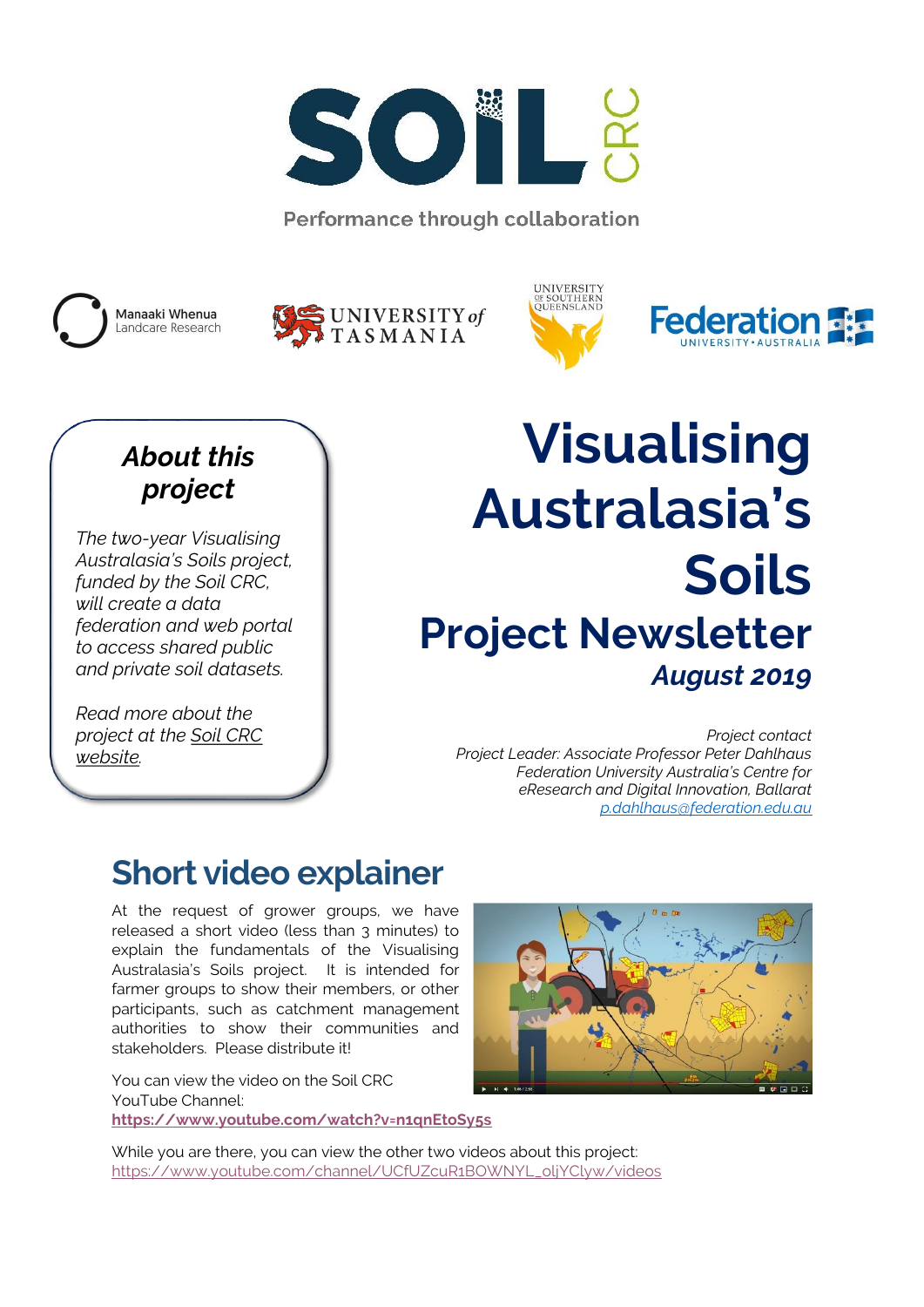

Performance through collaboration









### *About this project*

*The two-year Visualising Australasia's Soils project, funded by the Soil CRC, will create a data federation and web portal to access shared public and private soil datasets.*

*Read more about the project at the [Soil CRC](http://www.soilcrc.com.au/projects-2/)  [website.](http://www.soilcrc.com.au/projects-2/)*

# **Visualising Australasia's Soils Project Newsletter** *August 2019*

*Project contact Project Leader: Associate Professor Peter Dahlhaus Federation University Australia's Centre for eResearch and Digital Innovation, Ballarat [p.dahlhaus@federation.edu.au](mailto:p.dahlhaus@federation.edu.au)*

### **Short video explainer**

At the request of grower groups, we have released a short video (less than 3 minutes) to explain the fundamentals of the Visualising Australasia's Soils project. It is intended for farmer groups to show their members, or other participants, such as catchment management authorities to show their communities and stakeholders. Please distribute it!

You can view the video on the Soil CRC YouTube Channel: **<https://www.youtube.com/watch?v=n1qnEtoSy5s>**



While you are there, you can view the other two videos about this project: [https://www.youtube.com/channel/UCfUZcuR1BOWNYL\\_oljYClyw/videos](https://www.youtube.com/channel/UCfUZcuR1BOWNYL_oljYClyw/videos)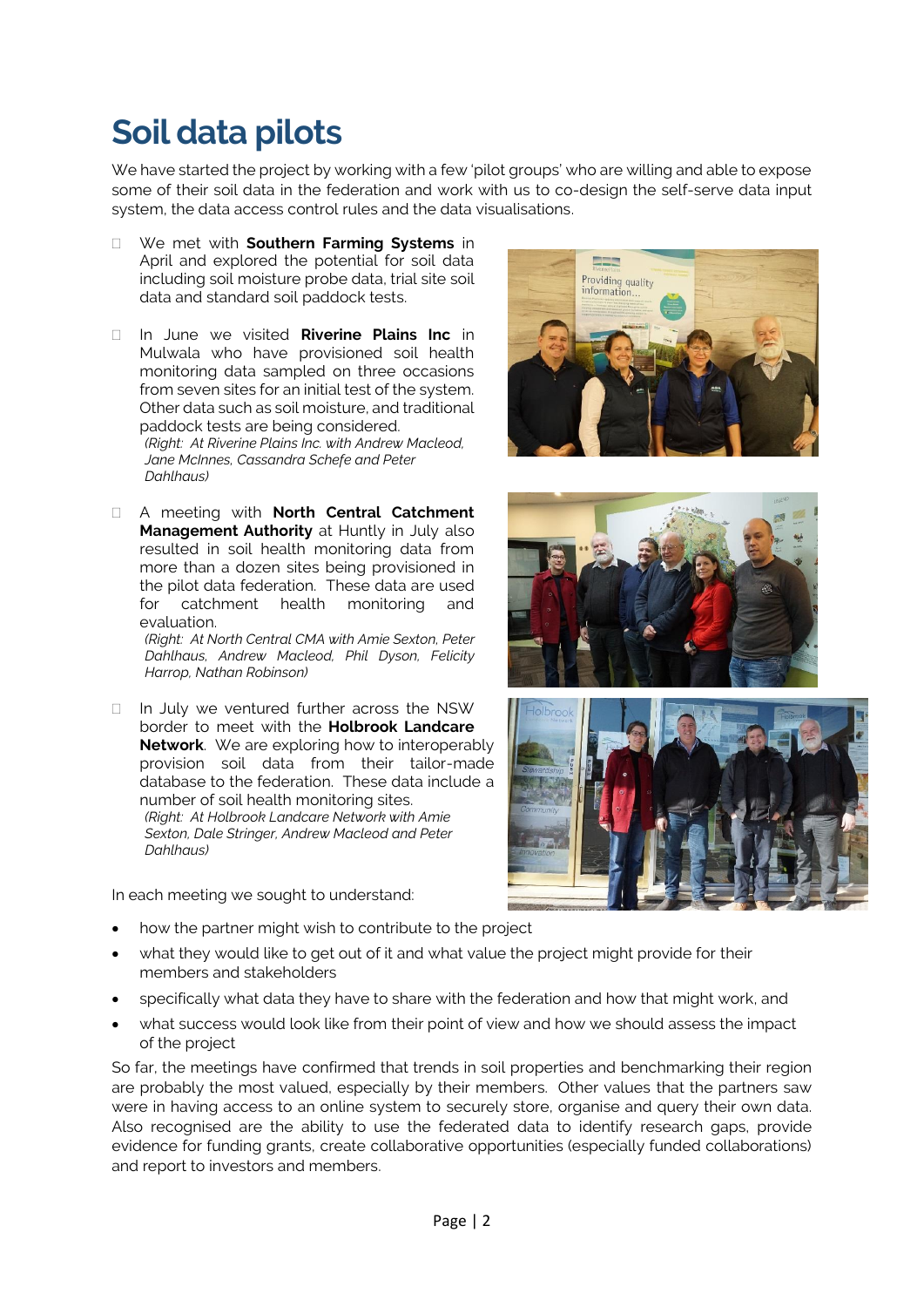### **Soil data pilots**

We have started the project by working with a few 'pilot groups' who are willing and able to expose some of their soil data in the federation and work with us to co-design the self-serve data input system, the data access control rules and the data visualisations.

- We met with **Southern Farming Systems** in April and explored the potential for soil data including soil moisture probe data, trial site soil data and standard soil paddock tests.
- In June we visited **Riverine Plains Inc** in Mulwala who have provisioned soil health monitoring data sampled on three occasions from seven sites for an initial test of the system. Other data such as soil moisture, and traditional paddock tests are being considered. *(Right: At Riverine Plains Inc. with Andrew Macleod, Jane McInnes, Cassandra Schefe and Peter Dahlhaus)*
- A meeting with **North Central Catchment Management Authority** at Huntly in July also resulted in soil health monitoring data from more than a dozen sites being provisioned in the pilot data federation. These data are used for catchment health monitoring and evaluation.

*(Right: At North Central CMA with Amie Sexton, Peter Dahlhaus, Andrew Macleod, Phil Dyson, Felicity Harrop, Nathan Robinson)* 

 $\Box$  In July we ventured further across the NSW border to meet with the **Holbrook Landcare Network**. We are exploring how to interoperably provision soil data from their tailor-made database to the federation. These data include a number of soil health monitoring sites. *(Right: At Holbrook Landcare Network with Amie Sexton, Dale Stringer, Andrew Macleod and Peter Dahlhaus)* 

In each meeting we sought to understand:

- how the partner might wish to contribute to the project
- what they would like to get out of it and what value the project might provide for their members and stakeholders
- specifically what data they have to share with the federation and how that might work, and
- what success would look like from their point of view and how we should assess the impact of the project

So far, the meetings have confirmed that trends in soil properties and benchmarking their region are probably the most valued, especially by their members. Other values that the partners saw were in having access to an online system to securely store, organise and query their own data. Also recognised are the ability to use the federated data to identify research gaps, provide evidence for funding grants, create collaborative opportunities (especially funded collaborations) and report to investors and members.





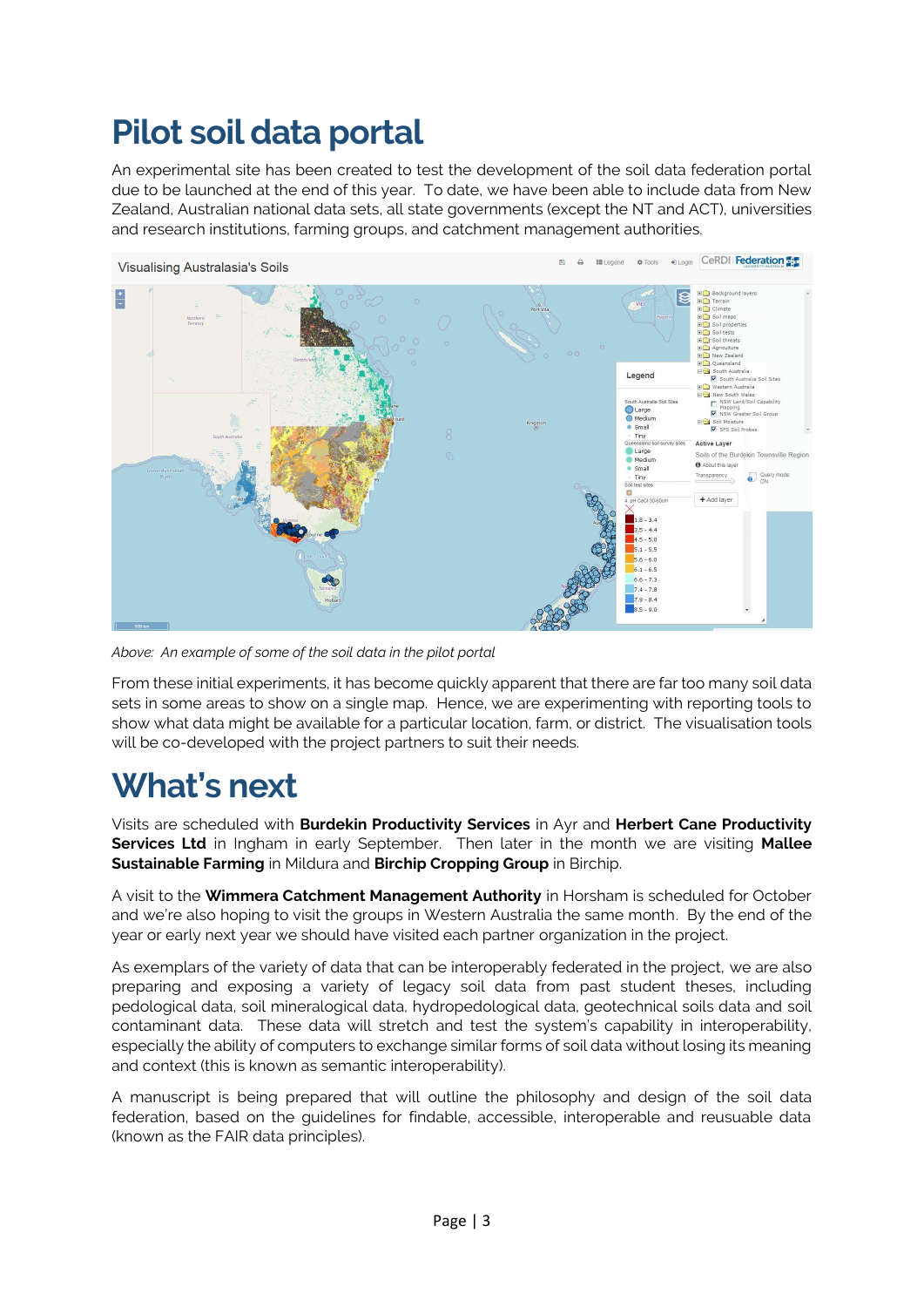### **Pilot soil data portal**

An experimental site has been created to test the development of the soil data federation portal due to be launched at the end of this year. To date, we have been able to include data from New Zealand, Australian national data sets, all state governments (except the NT and ACT), universities and research institutions, farming groups, and catchment management authorities.



*Above: An example of some of the soil data in the pilot portal*

From these initial experiments, it has become quickly apparent that there are far too many soil data sets in some areas to show on a single map. Hence, we are experimenting with reporting tools to show what data might be available for a particular location, farm, or district. The visualisation tools will be co-developed with the project partners to suit their needs.

### **What's next**

Visits are scheduled with **Burdekin Productivity Services** in Ayr and **Herbert Cane Productivity Services Ltd** in Ingham in early September. Then later in the month we are visiting **Mallee Sustainable Farming** in Mildura and **Birchip Cropping Group** in Birchip.

A visit to the **Wimmera Catchment Management Authority** in Horsham is scheduled for October and we're also hoping to visit the groups in Western Australia the same month. By the end of the year or early next year we should have visited each partner organization in the project.

As exemplars of the variety of data that can be interoperably federated in the project, we are also preparing and exposing a variety of legacy soil data from past student theses, including pedological data, soil mineralogical data, hydropedological data, geotechnical soils data and soil contaminant data. These data will stretch and test the system's capability in interoperability, especially the ability of computers to exchange similar forms of soil data without losing its meaning and context (this is known as semantic interoperability).

A manuscript is being prepared that will outline the philosophy and design of the soil data federation, based on the guidelines for findable, accessible, interoperable and reusuable data (known as the FAIR data principles).